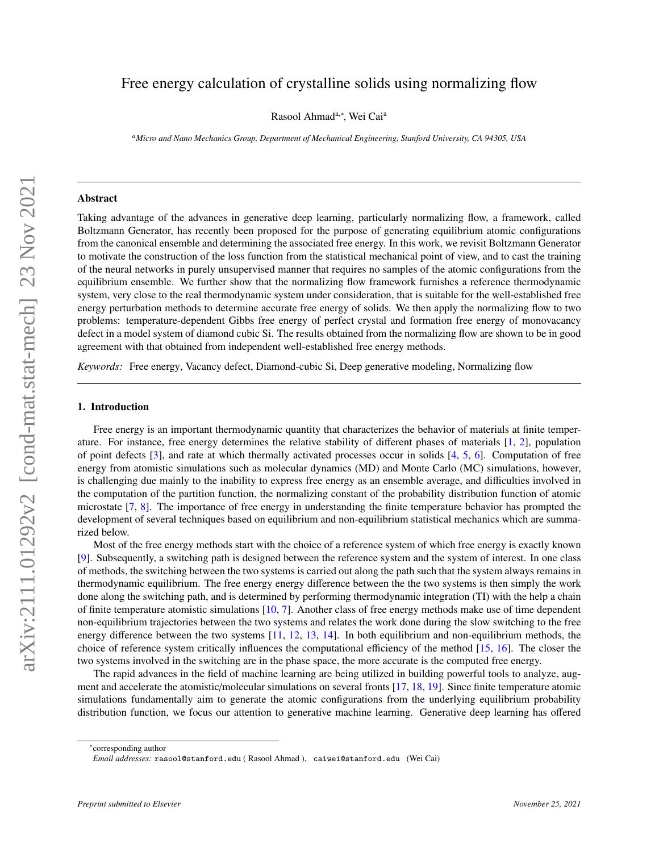# Free energy calculation of crystalline solids using normalizing flow

Rasool Ahmad<sup>a,∗</sup>, Wei Cai<sup>a</sup>

*<sup>a</sup>Micro and Nano Mechanics Group, Department of Mechanical Engineering, Stanford University, CA 94305, USA*

#### Abstract

Taking advantage of the advances in generative deep learning, particularly normalizing flow, a framework, called Boltzmann Generator, has recently been proposed for the purpose of generating equilibrium atomic configurations from the canonical ensemble and determining the associated free energy. In this work, we revisit Boltzmann Generator to motivate the construction of the loss function from the statistical mechanical point of view, and to cast the training of the neural networks in purely unsupervised manner that requires no samples of the atomic configurations from the equilibrium ensemble. We further show that the normalizing flow framework furnishes a reference thermodynamic system, very close to the real thermodynamic system under consideration, that is suitable for the well-established free energy perturbation methods to determine accurate free energy of solids. We then apply the normalizing flow to two problems: temperature-dependent Gibbs free energy of perfect crystal and formation free energy of monovacancy defect in a model system of diamond cubic Si. The results obtained from the normalizing flow are shown to be in good agreement with that obtained from independent well-established free energy methods.

*Keywords:* Free energy, Vacancy defect, Diamond-cubic Si, Deep generative modeling, Normalizing flow

## 1. Introduction

Free energy is an important thermodynamic quantity that characterizes the behavior of materials at finite temperature. For instance, free energy determines the relative stability of different phases of materials [\[1,](#page-13-0) [2\]](#page-13-1), population of point defects [\[3\]](#page-13-2), and rate at which thermally activated processes occur in solids [\[4,](#page-13-3) [5,](#page-13-4) [6\]](#page-14-0). Computation of free energy from atomistic simulations such as molecular dynamics (MD) and Monte Carlo (MC) simulations, however, is challenging due mainly to the inability to express free energy as an ensemble average, and difficulties involved in the computation of the partition function, the normalizing constant of the probability distribution function of atomic microstate [\[7,](#page-14-1) [8\]](#page-14-2). The importance of free energy in understanding the finite temperature behavior has prompted the development of several techniques based on equilibrium and non-equilibrium statistical mechanics which are summarized below.

Most of the free energy methods start with the choice of a reference system of which free energy is exactly known [\[9\]](#page-14-3). Subsequently, a switching path is designed between the reference system and the system of interest. In one class of methods, the switching between the two systems is carried out along the path such that the system always remains in thermodynamic equilibrium. The free energy energy difference between the the two systems is then simply the work done along the switching path, and is determined by performing thermodynamic integration (TI) with the help a chain of finite temperature atomistic simulations [\[10,](#page-14-4) [7\]](#page-14-1). Another class of free energy methods make use of time dependent non-equilibrium trajectories between the two systems and relates the work done during the slow switching to the free energy difference between the two systems [\[11,](#page-14-5) [12,](#page-14-6) [13,](#page-14-7) [14\]](#page-14-8). In both equilibrium and non-equilibrium methods, the choice of reference system critically influences the computational efficiency of the method [\[15,](#page-14-9) [16\]](#page-14-10). The closer the two systems involved in the switching are in the phase space, the more accurate is the computed free energy.

The rapid advances in the field of machine learning are being utilized in building powerful tools to analyze, augment and accelerate the atomistic/molecular simulations on several fronts [\[17,](#page-14-11) [18,](#page-14-12) [19\]](#page-14-13). Since finite temperature atomic simulations fundamentally aim to generate the atomic configurations from the underlying equilibrium probability distribution function, we focus our attention to generative machine learning. Generative deep learning has offered

∗ corresponding author

*Email addresses:* rasool@stanford.edu ( Rasool Ahmad ), caiwei@stanford.edu (Wei Cai)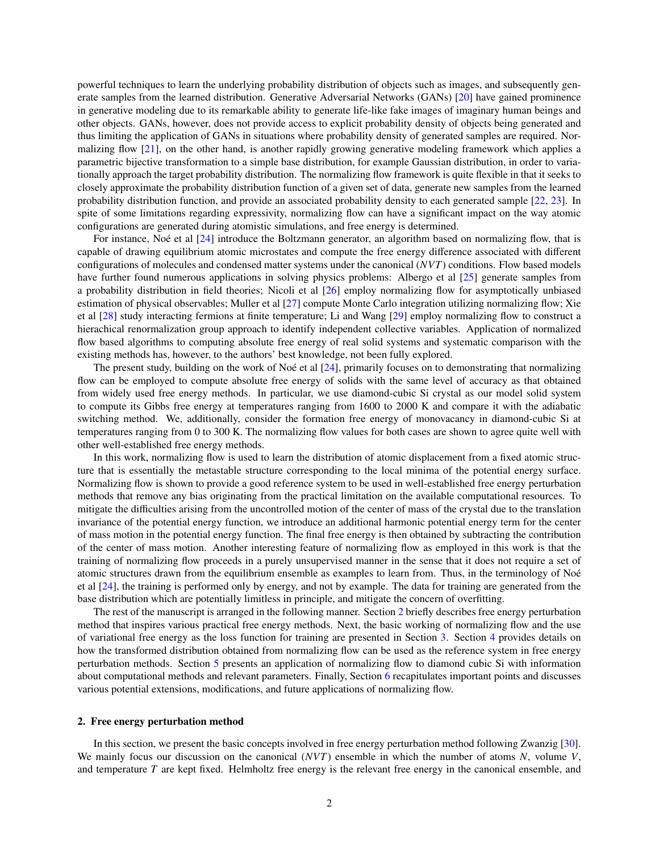powerful techniques to learn the underlying probability distribution of objects such as images, and subsequently generate samples from the learned distribution. Generative Adversarial Networks (GANs) [\[20\]](#page-14-14) have gained prominence in generative modeling due to its remarkable ability to generate life-like fake images of imaginary human beings and other objects. GANs, however, does not provide access to explicit probability density of objects being generated and thus limiting the application of GANs in situations where probability density of generated samples are required. Normalizing flow [\[21\]](#page-14-15), on the other hand, is another rapidly growing generative modeling framework which applies a parametric bijective transformation to a simple base distribution, for example Gaussian distribution, in order to variationally approach the target probability distribution. The normalizing flow framework is quite flexible in that it seeks to closely approximate the probability distribution function of a given set of data, generate new samples from the learned probability distribution function, and provide an associated probability density to each generated sample [\[22,](#page-14-16) [23\]](#page-14-17). In spite of some limitations regarding expressivity, normalizing flow can have a significant impact on the way atomic configurations are generated during atomistic simulations, and free energy is determined.

For instance, Noé et al  $[24]$  $[24]$  introduce the Boltzmann generator, an algorithm based on normalizing flow, that is capable of drawing equilibrium atomic microstates and compute the free energy difference associated with different configurations of molecules and condensed matter systems under the canonical (*NVT*) conditions. Flow based models have further found numerous applications in solving physics problems: Albergo et al [\[25\]](#page-14-19) generate samples from a probability distribution in field theories; Nicoli et al [\[26\]](#page-14-20) employ normalizing flow for asymptotically unbiased estimation of physical observables; Muller et al [\[27\]](#page-15-0) compute Monte Carlo integration utilizing normalizing flow; Xie et al [\[28\]](#page-15-1) study interacting fermions at finite temperature; Li and Wang [\[29\]](#page-15-2) employ normalizing flow to construct a hierachical renormalization group approach to identify independent collective variables. Application of normalized flow based algorithms to computing absolute free energy of real solid systems and systematic comparison with the existing methods has, however, to the authors' best knowledge, not been fully explored.

The present study, building on the work of Noé et al  $[24]$  $[24]$ , primarily focuses on to demonstrating that normalizing flow can be employed to compute absolute free energy of solids with the same level of accuracy as that obtained from widely used free energy methods. In particular, we use diamond-cubic Si crystal as our model solid system to compute its Gibbs free energy at temperatures ranging from 1600 to 2000 K and compare it with the adiabatic switching method. We, additionally, consider the formation free energy of monovacancy in diamond-cubic Si at temperatures ranging from 0 to 300 K. The normalizing flow values for both cases are shown to agree quite well with other well-established free energy methods.

In this work, normalizing flow is used to learn the distribution of atomic displacement from a fixed atomic structure that is essentially the metastable structure corresponding to the local minima of the potential energy surface. Normalizing flow is shown to provide a good reference system to be used in well-established free energy perturbation methods that remove any bias originating from the practical limitation on the available computational resources. To mitigate the difficulties arising from the uncontrolled motion of the center of mass of the crystal due to the translation invariance of the potential energy function, we introduce an additional harmonic potential energy term for the center of mass motion in the potential energy function. The final free energy is then obtained by subtracting the contribution of the center of mass motion. Another interesting feature of normalizing flow as employed in this work is that the training of normalizing flow proceeds in a purely unsupervised manner in the sense that it does not require a set of atomic structures drawn from the equilibrium ensemble as examples to learn from. Thus, in the terminology of Noe´ et al [\[24\]](#page-14-18), the training is performed only by energy, and not by example. The data for training are generated from the base distribution which are potentially limitless in principle, and mitigate the concern of overfitting.

The rest of the manuscript is arranged in the following manner. Section [2](#page-1-0) briefly describes free energy perturbation method that inspires various practical free energy methods. Next, the basic working of normalizing flow and the use of variational free energy as the loss function for training are presented in Section [3.](#page-3-0) Section [4](#page-5-0) provides details on how the transformed distribution obtained from normalizing flow can be used as the reference system in free energy perturbation methods. Section [5](#page-6-0) presents an application of normalizing flow to diamond cubic Si with information about computational methods and relevant parameters. Finally, Section [6](#page-10-0) recapitulates important points and discusses various potential extensions, modifications, and future applications of normalizing flow.

### <span id="page-1-0"></span>2. Free energy perturbation method

In this section, we present the basic concepts involved in free energy perturbation method following Zwanzig [\[30\]](#page-15-3). We mainly focus our discussion on the canonical (*NVT*) ensemble in which the number of atoms *N*, volume *V*, and temperature *T* are kept fixed. Helmholtz free energy is the relevant free energy in the canonical ensemble, and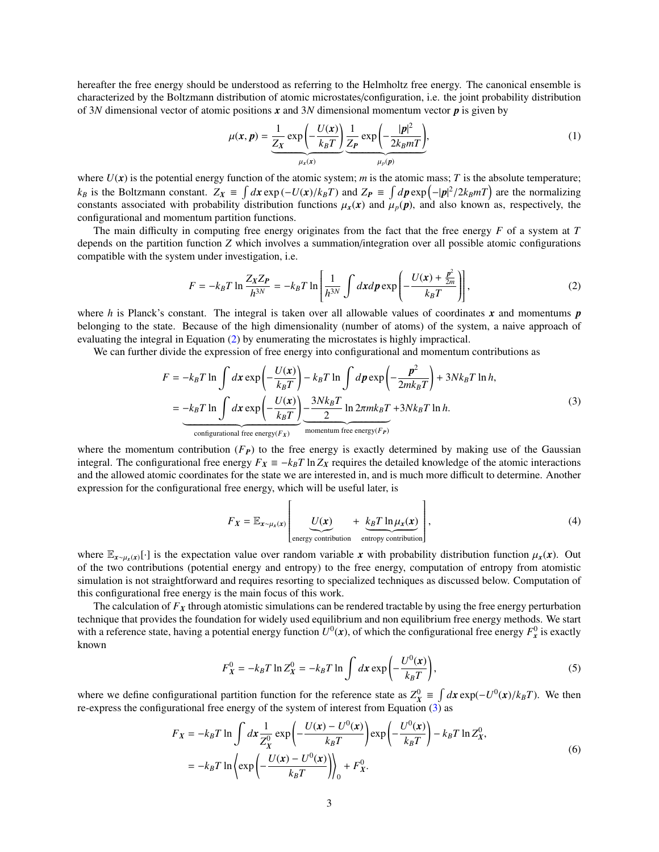hereafter the free energy should be understood as referring to the Helmholtz free energy. The canonical ensemble is characterized by the Boltzmann distribution of atomic microstates/configuration, i.e. the joint probability distribution of 3*N* dimensional vector of atomic positions  $x$  and 3*N* dimensional momentum vector  $p$  is given by

<span id="page-2-0"></span>
$$
\mu(x, p) = \underbrace{\frac{1}{Z_X} \exp\left(-\frac{U(x)}{k_B T}\right)}_{\mu_x(x)} \underbrace{\frac{1}{Z_P} \exp\left(-\frac{|p|^2}{2k_B m T}\right)}_{\mu_p(p)},
$$
\n(1)

where  $U(x)$  is the potential energy function of the atomic system; *m* is the atomic mass; *T* is the absolute temperature;  $k_B$  is the Boltzmann constant.  $Z_x \equiv \int dx \exp(-U(x)/k_B T)$  and  $Z_P \equiv \int dp \exp(-|p|^2/2k_B mT)$  are the normalizing<br>constants associated with probability distribution functions  $\mu(x)$  and  $\mu(p)$  and also known as respectively the constants associated with probability distribution functions  $\mu_x(x)$  and  $\mu_p(p)$ , and also known as, respectively, the configurational and momentum partition functions.

The main difficulty in computing free energy originates from the fact that the free energy *F* of a system at *T* depends on the partition function *Z* which involves a summation/integration over all possible atomic configurations compatible with the system under investigation, i.e.

$$
F = -k_B T \ln \frac{Z_X Z_P}{h^{3N}} = -k_B T \ln \left[ \frac{1}{h^{3N}} \int dx dp \exp \left( -\frac{U(x) + \frac{p^2}{2m}}{k_B T} \right) \right],
$$
 (2)

where *h* is Planck's constant. The integral is taken over all allowable values of coordinates *x* and momentums *p* belonging to the state. Because of the high dimensionality (number of atoms) of the system, a naive approach of evaluating the integral in Equation [\(2\)](#page-2-0) by enumerating the microstates is highly impractical.

We can further divide the expression of free energy into configurational and momentum contributions as

<span id="page-2-1"></span>
$$
F = -k_B T \ln \int dx \exp\left(-\frac{U(x)}{k_B T}\right) - k_B T \ln \int dp \exp\left(-\frac{p^2}{2mk_B T}\right) + 3Nk_B T \ln h,
$$
  
= 
$$
-k_B T \ln \int dx \exp\left(-\frac{U(x)}{k_B T}\right) - \frac{3Nk_B T}{2} \ln 2\pi mk_B T + 3Nk_B T \ln h.
$$
  
Configurational free energy(*F<sub>x</sub>*)  
momentum free energy(*F<sub>p</sub>*) (3)

where the momentum contribution  $(F_P)$  to the free energy is exactly determined by making use of the Gaussian integral. The configurational free energy  $F_X = -k_B T \ln Z_X$  requires the detailed knowledge of the atomic interactions and the allowed atomic coordinates for the state we are interested in, and is much more difficult to determine. Another expression for the configurational free energy, which will be useful later, is

<span id="page-2-3"></span>
$$
F_X = \mathbb{E}_{x \sim \mu_x(x)} \left[ \underbrace{U(x)}_{\text{energy contribution}} + \underbrace{k_B T \ln \mu_x(x)}_{\text{entropy contribution}} \right],
$$
 (4)

where  $\mathbb{E}_{x\sim\mu_{x}(x)}[\cdot]$  is the expectation value over random variable *x* with probability distribution function  $\mu_{x}(x)$ . Out of the two contributions (potential energy and entropy) to the free energy, computation of entropy from atomistic simulation is not straightforward and requires resorting to specialized techniques as discussed below. Computation of this configurational free energy is the main focus of this work.

The calculation of  $F_X$  through atomistic simulations can be rendered tractable by using the free energy perturbation technique that provides the foundation for widely used equilibrium and non equilibrium free energy methods. We start with a reference state, having a potential energy function  $U^0(x)$ , of which the configurational free energy  $F_x^0$  is exactly known

$$
F_X^0 = -k_B T \ln Z_X^0 = -k_B T \ln \int dx \exp\left(-\frac{U^0(x)}{k_B T}\right),\tag{5}
$$

where we define configurational partition function for the reference state as  $Z_X^0 \equiv \int dx \exp(-U^0(x)/k_B T)$ . We then  $\epsilon$ -express the configurational free energy of the system of interest from Equation (3) as re-express the configurational free energy of the system of interest from Equation [\(3\)](#page-2-1) as

<span id="page-2-2"></span>
$$
F_X = -k_B T \ln \int dx \frac{1}{Z_X^0} \exp\left(-\frac{U(x) - U^0(x)}{k_B T}\right) \exp\left(-\frac{U^0(x)}{k_B T}\right) - k_B T \ln Z_X^0,
$$
  
=  $-k_B T \ln \left\{ \exp\left(-\frac{U(x) - U^0(x)}{k_B T}\right) \right\}_0 + F_X^0.$  (6)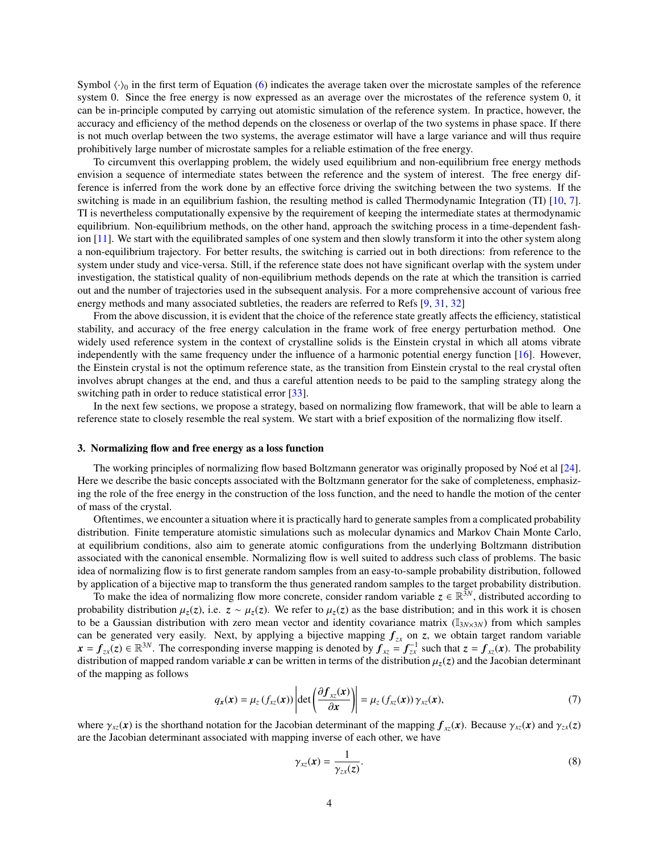Symbol  $\langle \cdot \rangle_0$  in the first term of Equation [\(6\)](#page-2-2) indicates the average taken over the microstate samples of the reference system 0. Since the free energy is now expressed as an average over the microstates of the reference system 0, it can be in-principle computed by carrying out atomistic simulation of the reference system. In practice, however, the accuracy and efficiency of the method depends on the closeness or overlap of the two systems in phase space. If there is not much overlap between the two systems, the average estimator will have a large variance and will thus require prohibitively large number of microstate samples for a reliable estimation of the free energy.

To circumvent this overlapping problem, the widely used equilibrium and non-equilibrium free energy methods envision a sequence of intermediate states between the reference and the system of interest. The free energy difference is inferred from the work done by an effective force driving the switching between the two systems. If the switching is made in an equilibrium fashion, the resulting method is called Thermodynamic Integration (TI) [\[10,](#page-14-4) [7\]](#page-14-1). TI is nevertheless computationally expensive by the requirement of keeping the intermediate states at thermodynamic equilibrium. Non-equilibrium methods, on the other hand, approach the switching process in a time-dependent fashion [\[11\]](#page-14-5). We start with the equilibrated samples of one system and then slowly transform it into the other system along a non-equilibrium trajectory. For better results, the switching is carried out in both directions: from reference to the system under study and vice-versa. Still, if the reference state does not have significant overlap with the system under investigation, the statistical quality of non-equilibrium methods depends on the rate at which the transition is carried out and the number of trajectories used in the subsequent analysis. For a more comprehensive account of various free energy methods and many associated subtleties, the readers are referred to Refs [\[9,](#page-14-3) [31,](#page-15-4) [32\]](#page-15-5)

From the above discussion, it is evident that the choice of the reference state greatly affects the efficiency, statistical stability, and accuracy of the free energy calculation in the frame work of free energy perturbation method. One widely used reference system in the context of crystalline solids is the Einstein crystal in which all atoms vibrate independently with the same frequency under the influence of a harmonic potential energy function [\[16\]](#page-14-10). However, the Einstein crystal is not the optimum reference state, as the transition from Einstein crystal to the real crystal often involves abrupt changes at the end, and thus a careful attention needs to be paid to the sampling strategy along the switching path in order to reduce statistical error [\[33\]](#page-15-6).

In the next few sections, we propose a strategy, based on normalizing flow framework, that will be able to learn a reference state to closely resemble the real system. We start with a brief exposition of the normalizing flow itself.

### <span id="page-3-0"></span>3. Normalizing flow and free energy as a loss function

The working principles of normalizing flow based Boltzmann generator was originally proposed by Noé et al  $[24]$  $[24]$ . Here we describe the basic concepts associated with the Boltzmann generator for the sake of completeness, emphasizing the role of the free energy in the construction of the loss function, and the need to handle the motion of the center of mass of the crystal.

Oftentimes, we encounter a situation where it is practically hard to generate samples from a complicated probability distribution. Finite temperature atomistic simulations such as molecular dynamics and Markov Chain Monte Carlo, at equilibrium conditions, also aim to generate atomic configurations from the underlying Boltzmann distribution associated with the canonical ensemble. Normalizing flow is well suited to address such class of problems. The basic idea of normalizing flow is to first generate random samples from an easy-to-sample probability distribution, followed by application of a bijective map to transform the thus generated random samples to the target probability distribution.

To make the idea of normalizing flow more concrete, consider random variable  $z \in \mathbb{R}^{3N}$ , distributed according to probability distribution  $\mu_z(z)$ , i.e.  $z \sim \mu_z(z)$ . We refer to  $\mu_z(z)$  as the base distribution; and in this work it is chosen to be a Gaussian distribution with zero mean vector and identity covariance matrix  $(I_{3N\times3N})$  from which samples can be generated very easily. Next, by applying a bijective mapping *fzx* on *z*, we obtain target random variable  $x = f_{zx}(z) \in \mathbb{R}^{3N}$ . The corresponding inverse mapping is denoted by  $f_{xz} = f_{zx}^{-1}$  such that  $z = f_{xz}(x)$ . The probability distribution of mapped random variable x can be written in terms of the distribution  $\mu_z(z)$  and the Jacobian determinant of the mapping as follows

$$
q_{x}(\mathbf{x}) = \mu_{z} \left( f_{xz}(\mathbf{x}) \right) \left| \det \left( \frac{\partial f_{xz}(\mathbf{x})}{\partial \mathbf{x}} \right) \right| = \mu_{z} \left( f_{xz}(\mathbf{x}) \right) \gamma_{xz}(\mathbf{x}), \tag{7}
$$

where  $\gamma_{xz}(x)$  is the shorthand notation for the Jacobian determinant of the mapping  $f_{xz}(x)$ . Because  $\gamma_{xz}(x)$  and  $\gamma_{zx}(z)$ are the Jacobian determinant associated with mapping inverse of each other, we have

<span id="page-3-1"></span>
$$
\gamma_{xz}(\mathbf{x}) = \frac{1}{\gamma_{zx}(z)}.\tag{8}
$$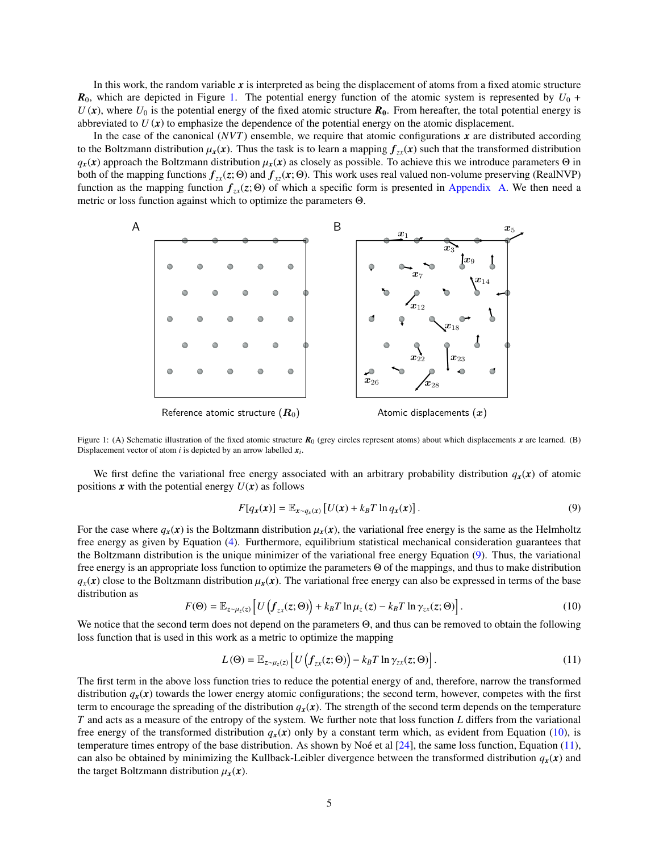In this work, the random variable *x* is interpreted as being the displacement of atoms from a fixed atomic structure  $R_0$ , which are depicted in Figure [1.](#page-4-0) The potential energy function of the atomic system is represented by  $U_0$  +  $U(\mathbf{x})$ , where  $U_0$  is the potential energy of the fixed atomic structure  $\mathbf{R}_0$ . From hereafter, the total potential energy is abbreviated to  $U(x)$  to emphasize the dependence of the potential energy on the atomic displacement.

In the case of the canonical  $(NVT)$  ensemble, we require that atomic configurations  $x$  are distributed according to the Boltzmann distribution  $\mu_x(x)$ . Thus the task is to learn a mapping  $f_{\tau}$ (*x*) such that the transformed distribution  $q_x(x)$  approach the Boltzmann distribution  $\mu_x(x)$  as closely as possible. To achieve this we introduce parameters  $\Theta$  in both of the mapping functions  $f_{zx}(z; \Theta)$  and  $f_{xz}(x; \Theta)$ . This work uses real valued non-volume preserving (RealNVP) function as the mapping function  $f_{zx}(z; \Theta)$  of which a specific form is presented in [Appendix A.](#page-12-0) We then need a metric or loss function against which to optimize the parameters Θ.



<span id="page-4-0"></span>Figure 1: (A) Schematic illustration of the fixed atomic structure  $R_0$  (grey circles represent atoms) about which displacements *x* are learned. (B) Displacement vector of atom *i* is depicted by an arrow labelled  $x_i$ .

We first define the variational free energy associated with an arbitrary probability distribution  $q_x(x)$  of atomic positions  $\boldsymbol{x}$  with the potential energy  $U(\boldsymbol{x})$  as follows

<span id="page-4-1"></span>
$$
F[q_x(\mathbf{x})] = \mathbb{E}_{\mathbf{x} \sim q_x(\mathbf{x})} \left[ U(\mathbf{x}) + k_B T \ln q_x(\mathbf{x}) \right]. \tag{9}
$$

For the case where  $q_x(x)$  is the Boltzmann distribution  $\mu_x(x)$ , the variational free energy is the same as the Helmholtz free energy as given by Equation [\(4\)](#page-2-3). Furthermore, equilibrium statistical mechanical consideration guarantees that the Boltzmann distribution is the unique minimizer of the variational free energy Equation [\(9\)](#page-4-1). Thus, the variational free energy is an appropriate loss function to optimize the parameters Θ of the mappings, and thus to make distribution  $q_x(x)$  close to the Boltzmann distribution  $\mu_x(x)$ . The variational free energy can also be expressed in terms of the base distribution as

<span id="page-4-2"></span>
$$
F(\Theta) = \mathbb{E}_{z \sim \mu_z(z)} \left[ U \left( f_{zx}(z; \Theta) \right) + k_B T \ln \mu_z(z) - k_B T \ln \gamma_{zx}(z; \Theta) \right]. \tag{10}
$$

We notice that the second term does not depend on the parameters Θ, and thus can be removed to obtain the following loss function that is used in this work as a metric to optimize the mapping

<span id="page-4-3"></span>
$$
L(\Theta) = \mathbb{E}_{z \sim \mu_z(z)} \left[ U \left( f_{zx}(z; \Theta) \right) - k_B T \ln \gamma_{zx}(z; \Theta) \right]. \tag{11}
$$

The first term in the above loss function tries to reduce the potential energy of and, therefore, narrow the transformed distribution  $q_x(x)$  towards the lower energy atomic configurations; the second term, however, competes with the first term to encourage the spreading of the distribution  $q_r(x)$ . The strength of the second term depends on the temperature *T* and acts as a measure of the entropy of the system. We further note that loss function *L* differs from the variational free energy of the transformed distribution  $q_x(x)$  only by a constant term which, as evident from Equation [\(10\)](#page-4-2), is temperature times entropy of the base distribution. As shown by Noé et al  $[24]$  $[24]$ , the same loss function, Equation [\(11\)](#page-4-3), can also be obtained by minimizing the Kullback-Leibler divergence between the transformed distribution  $q_x(x)$  and the target Boltzmann distribution  $\mu_x(x)$ .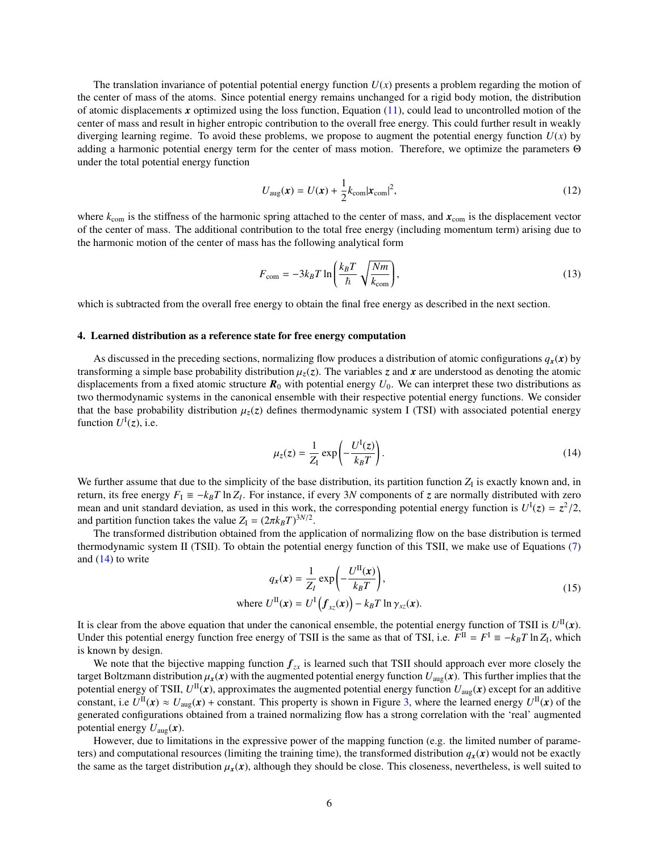The translation invariance of potential potential energy function  $U(x)$  presents a problem regarding the motion of the center of mass of the atoms. Since potential energy remains unchanged for a rigid body motion, the distribution of atomic displacements x optimized using the loss function, Equation  $(11)$ , could lead to uncontrolled motion of the center of mass and result in higher entropic contribution to the overall free energy. This could further result in weakly diverging learning regime. To avoid these problems, we propose to augment the potential energy function  $U(x)$  by adding a harmonic potential energy term for the center of mass motion. Therefore, we optimize the parameters Θ under the total potential energy function

<span id="page-5-2"></span>
$$
U_{\text{aug}}(\boldsymbol{x}) = U(\boldsymbol{x}) + \frac{1}{2} k_{\text{com}} |\boldsymbol{x}_{\text{com}}|^2,
$$
\n(12)

where  $k_{\text{com}}$  is the stiffness of the harmonic spring attached to the center of mass, and  $\mathbf{x}_{\text{com}}$  is the displacement vector of the center of mass. The additional contribution to the total free energy (including momentum term) arising due to the harmonic motion of the center of mass has the following analytical form

<span id="page-5-3"></span>
$$
F_{\text{com}} = -3k_B T \ln\left(\frac{k_B T}{\hbar} \sqrt{\frac{Nm}{k_{\text{com}}}}\right),\tag{13}
$$

which is subtracted from the overall free energy to obtain the final free energy as described in the next section.

## <span id="page-5-0"></span>4. Learned distribution as a reference state for free energy computation

As discussed in the preceding sections, normalizing flow produces a distribution of atomic configurations  $q_x(x)$  by transforming a simple base probability distribution  $\mu_z(z)$ . The variables *z* and *x* are understood as denoting the atomic displacements from a fixed atomic structure  $R_0$  with potential energy  $U_0$ . We can interpret these two distributions as two thermodynamic systems in the canonical ensemble with their respective potential energy functions. We consider that the base probability distribution  $\mu_z(z)$  defines thermodynamic system I (TSI) with associated potential energy function  $U^{\text{I}}(z)$ , i.e.

<span id="page-5-1"></span>
$$
\mu_z(z) = \frac{1}{Z_I} \exp\left(-\frac{U^I(z)}{k_B T}\right). \tag{14}
$$

We further assume that due to the simplicity of the base distribution, its partition function  $Z_I$  is exactly known and, in return, its free energy  $F_1 = -k_B T \ln Z_I$ . For instance, if every 3*N* components of *z* are normally distributed with zero mean and unit standard deviation, as used in this work, the corresponding potential energy function is  $U^{\text{I}}(z) = z^2/2$ ,<br>and partition function takes the value  $Z = (2\pi k_0 T)^{3N/2}$ and partition function takes the value  $Z_I = (2\pi k_B T)^{3N/2}$ .<br>The transformed distribution obtained from the ann

The transformed distribution obtained from the application of normalizing flow on the base distribution is termed thermodynamic system II (TSII). To obtain the potential energy function of this TSII, we make use of Equations [\(7\)](#page-3-1) and  $(14)$  to write

<span id="page-5-4"></span>
$$
q_x(\mathbf{x}) = \frac{1}{Z_I} \exp\left(-\frac{U^{II}(\mathbf{x})}{k_B T}\right),
$$
  
where  $U^{II}(\mathbf{x}) = U^I \left(f_{xz}(\mathbf{x})\right) - k_B T \ln \gamma_{xz}(\mathbf{x}).$  (15)

It is clear from the above equation that under the canonical ensemble, the potential energy function of TSII is  $U^{\text{II}}(x)$ . Under this potential energy function free energy of TSII is the same as that of TSI, i.e.  $F^{\text{II}} = F^{\text{I}} = -k_B T \ln Z_I$ , which is known by design.

We note that the bijective mapping function  $f_{zx}$  is learned such that TSII should approach ever more closely the target Boltzmann distribution  $\mu_x(x)$  with the augmented potential energy function  $U_{\text{aug}}(x)$ . This further implies that the potential energy of TSII,  $U^{\rm II}({\bm x})$ , approximates the augmented potential energy function  $U_{\rm aug}({\bm x})$  except for an additive constant, i.e  $U^{\text{II}}(x) \approx U_{\text{aug}}(x) + \text{constant}$ . This property is shown in Figure [3,](#page-8-0) where the learned energy  $U^{\text{II}}(x)$  of the generated configurations obtained from a trained normalizing flow has a strong correlation with the 'real' augmented potential energy  $U_{\text{aug}}(x)$ .

However, due to limitations in the expressive power of the mapping function (e.g. the limited number of parameters) and computational resources (limiting the training time), the transformed distribution  $q_x(x)$  would not be exactly the same as the target distribution  $\mu_x(x)$ , although they should be close. This closeness, nevertheless, is well suited to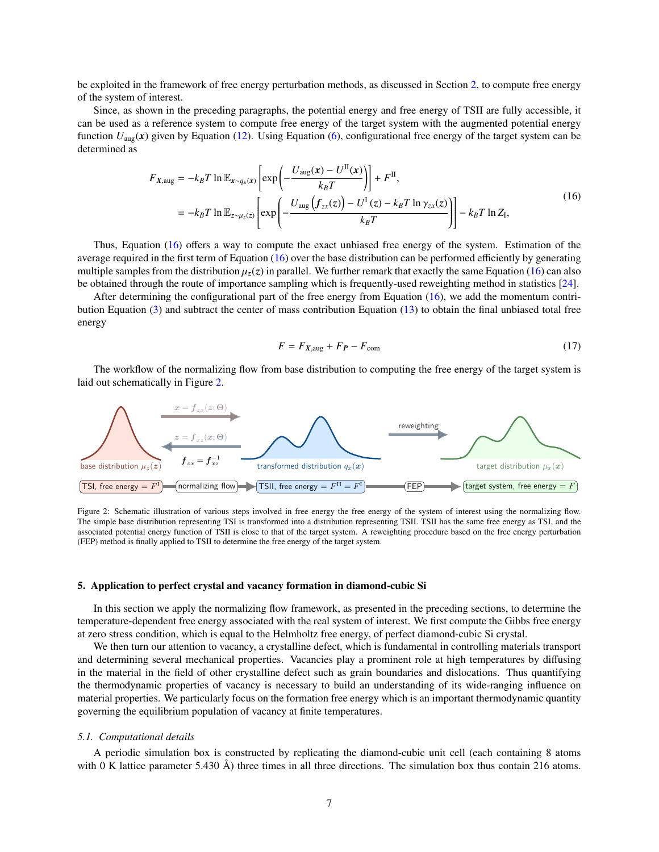be exploited in the framework of free energy perturbation methods, as discussed in Section [2,](#page-1-0) to compute free energy of the system of interest.

Since, as shown in the preceding paragraphs, the potential energy and free energy of TSII are fully accessible, it can be used as a reference system to compute free energy of the target system with the augmented potential energy function  $U_{\text{aug}}(x)$  given by Equation [\(12\)](#page-5-2). Using Equation [\(6\)](#page-2-2), configurational free energy of the target system can be determined as

<span id="page-6-1"></span>
$$
F_{X,\text{aug}} = -k_B T \ln \mathbb{E}_{x \sim q_x(x)} \left[ \exp \left( -\frac{U_{\text{aug}}(x) - U^{\text{II}}(x)}{k_B T} \right) \right] + F^{\text{II}},
$$
  

$$
= -k_B T \ln \mathbb{E}_{z \sim \mu_z(z)} \left[ \exp \left( -\frac{U_{\text{aug}}(f_{zx}(z)) - U^{\text{I}}(z) - k_B T \ln \gamma_{zx}(z)}{k_B T} \right) \right] - k_B T \ln Z_1,
$$
 (16)

Thus, Equation [\(16\)](#page-6-1) offers a way to compute the exact unbiased free energy of the system. Estimation of the average required in the first term of Equation  $(16)$  over the base distribution can be performed efficiently by generating multiple samples from the distribution  $\mu_z(z)$  in parallel. We further remark that exactly the same Equation [\(16\)](#page-6-1) can also be obtained through the route of importance sampling which is frequently-used reweighting method in statistics [\[24\]](#page-14-18).

After determining the configurational part of the free energy from Equation [\(16\)](#page-6-1), we add the momentum contribution Equation [\(3\)](#page-2-1) and subtract the center of mass contribution Equation [\(13\)](#page-5-3) to obtain the final unbiased total free energy

<span id="page-6-3"></span>
$$
F = F_{X, \text{aug}} + F_P - F_{\text{com}}
$$
\n<sup>(17)</sup>

The workflow of the normalizing flow from base distribution to computing the free energy of the target system is laid out schematically in Figure [2.](#page-6-2)



<span id="page-6-2"></span>Figure 2: Schematic illustration of various steps involved in free energy the free energy of the system of interest using the normalizing flow. The simple base distribution representing TSI is transformed into a distribution representing TSII. TSII has the same free energy as TSI, and the associated potential energy function of TSII is close to that of the target system. A reweighting procedure based on the free energy perturbation (FEP) method is finally applied to TSII to determine the free energy of the target system.

### <span id="page-6-0"></span>5. Application to perfect crystal and vacancy formation in diamond-cubic Si

In this section we apply the normalizing flow framework, as presented in the preceding sections, to determine the temperature-dependent free energy associated with the real system of interest. We first compute the Gibbs free energy at zero stress condition, which is equal to the Helmholtz free energy, of perfect diamond-cubic Si crystal.

We then turn our attention to vacancy, a crystalline defect, which is fundamental in controlling materials transport and determining several mechanical properties. Vacancies play a prominent role at high temperatures by diffusing in the material in the field of other crystalline defect such as grain boundaries and dislocations. Thus quantifying the thermodynamic properties of vacancy is necessary to build an understanding of its wide-ranging influence on material properties. We particularly focus on the formation free energy which is an important thermodynamic quantity governing the equilibrium population of vacancy at finite temperatures.

#### *5.1. Computational details*

A periodic simulation box is constructed by replicating the diamond-cubic unit cell (each containing 8 atoms with 0 K lattice parameter 5.430 Å) three times in all three directions. The simulation box thus contain 216 atoms.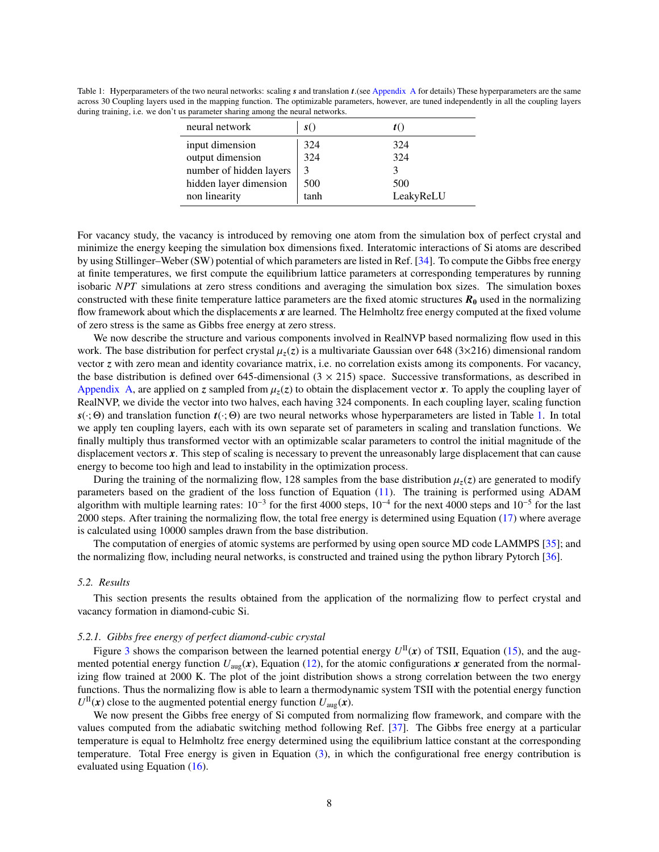<span id="page-7-0"></span>Table 1: Hyperparameters of the two neural networks: scaling *s* and translation *t*.(see [Appendix A](#page-12-0) for details) These hyperparameters are the same across 30 Coupling layers used in the mapping function. The optimizable parameters, however, are tuned independently in all the coupling layers during training, i.e. we don't us parameter sharing among the neural networks.

| neural network          | S(   |           |
|-------------------------|------|-----------|
| input dimension         | 324  | 324       |
| output dimension        | 324  | 324       |
| number of hidden layers |      |           |
| hidden layer dimension  | 500  | 500       |
| non linearity           | tanh | LeakyReLU |

For vacancy study, the vacancy is introduced by removing one atom from the simulation box of perfect crystal and minimize the energy keeping the simulation box dimensions fixed. Interatomic interactions of Si atoms are described by using Stillinger–Weber (SW) potential of which parameters are listed in Ref. [\[34\]](#page-15-7). To compute the Gibbs free energy at finite temperatures, we first compute the equilibrium lattice parameters at corresponding temperatures by running isobaric *NPT* simulations at zero stress conditions and averaging the simulation box sizes. The simulation boxes constructed with these finite temperature lattice parameters are the fixed atomic structures  $R_0$  used in the normalizing flow framework about which the displacements *x* are learned. The Helmholtz free energy computed at the fixed volume of zero stress is the same as Gibbs free energy at zero stress.

We now describe the structure and various components involved in RealNVP based normalizing flow used in this work. The base distribution for perfect crystal  $\mu_z(z)$  is a multivariate Gaussian over 648 (3×216) dimensional random vector *z* with zero mean and identity covariance matrix, i.e. no correlation exists among its components. For vacancy, the base distribution is defined over 645-dimensional  $(3 \times 215)$  space. Successive transformations, as described in [Appendix A,](#page-12-0) are applied on *z* sampled from  $\mu_z(z)$  to obtain the displacement vector *x*. To apply the coupling layer of RealNVP, we divide the vector into two halves, each having 324 components. In each coupling layer, scaling function  $s(\cdot; \Theta)$  and translation function  $t(\cdot; \Theta)$  are two neural networks whose hyperparameters are listed in Table [1.](#page-7-0) In total we apply ten coupling layers, each with its own separate set of parameters in scaling and translation functions. We finally multiply thus transformed vector with an optimizable scalar parameters to control the initial magnitude of the displacement vectors x. This step of scaling is necessary to prevent the unreasonably large displacement that can cause energy to become too high and lead to instability in the optimization process.

During the training of the normalizing flow, 128 samples from the base distribution  $\mu_z(z)$  are generated to modify parameters based on the gradient of the loss function of Equation [\(11\)](#page-4-3). The training is performed using ADAM algorithm with multiple learning rates:  $10^{-3}$  for the first 4000 steps,  $10^{-4}$  for the next 4000 steps and  $10^{-5}$  for the last 2000 steps. After training the normalizing flow, the total free energy is determined using Equation [\(17\)](#page-6-3) where average is calculated using 10000 samples drawn from the base distribution.

The computation of energies of atomic systems are performed by using open source MD code LAMMPS [\[35\]](#page-15-8); and the normalizing flow, including neural networks, is constructed and trained using the python library Pytorch [\[36\]](#page-15-9).

### *5.2. Results*

This section presents the results obtained from the application of the normalizing flow to perfect crystal and vacancy formation in diamond-cubic Si.

### *5.2.1. Gibbs free energy of perfect diamond-cubic crystal*

Figure [3](#page-8-0) shows the comparison between the learned potential energy  $U^{II}(x)$  of TSII, Equation [\(15\)](#page-5-4), and the augmented potential energy function  $U_{\text{aug}}(x)$ , Equation [\(12\)](#page-5-2), for the atomic configurations x generated from the normalizing flow trained at 2000 K. The plot of the joint distribution shows a strong correlation between the two energy functions. Thus the normalizing flow is able to learn a thermodynamic system TSII with the potential energy function  $U^{\text{II}}(\boldsymbol{x})$  close to the augmented potential energy function  $U_{\text{aug}}(\boldsymbol{x})$ .

We now present the Gibbs free energy of Si computed from normalizing flow framework, and compare with the values computed from the adiabatic switching method following Ref. [\[37\]](#page-15-10). The Gibbs free energy at a particular temperature is equal to Helmholtz free energy determined using the equilibrium lattice constant at the corresponding temperature. Total Free energy is given in Equation [\(3\)](#page-2-1), in which the configurational free energy contribution is evaluated using Equation [\(16\)](#page-6-1).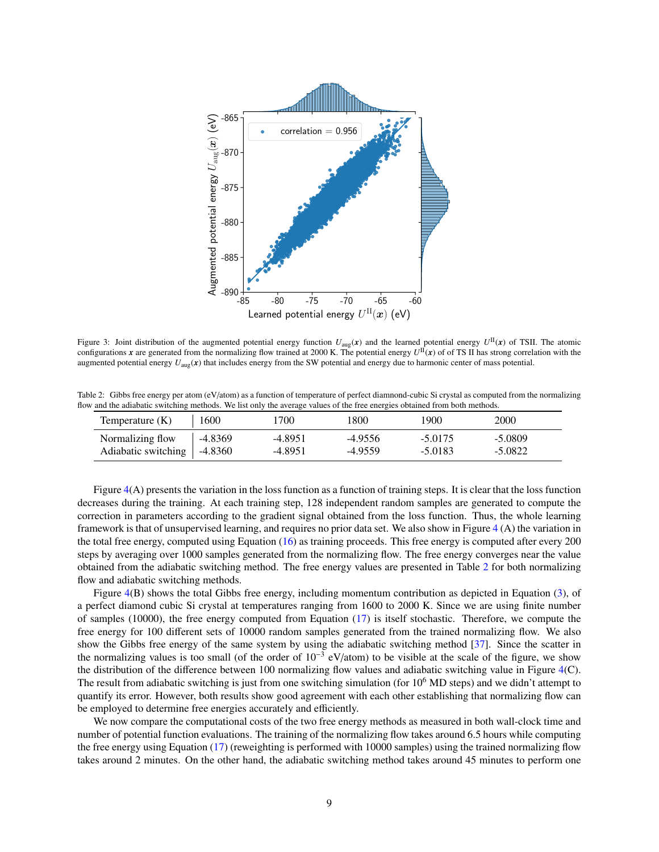

<span id="page-8-0"></span>Figure 3: Joint distribution of the augmented potential energy function  $U_{\text{aug}}(x)$  and the learned potential energy  $U^{\text{II}}(x)$  of TSII. The atomic configurations *x* are generated from the normalizing flow trained at 2000 K. The potential energy  $U^{II}(x)$  of of TS II has strong correlation with the augmented potential energy  $U_{\text{aug}}(x)$  that includes energy from the SW potential and energy due to harmonic center of mass potential.

Table 2: Gibbs free energy per atom (eV/atom) as a function of temperature of perfect diamnond-cubic Si crystal as computed from the normalizing flow and the adiabatic switching methods. We list only the average values of the free energies obtained from both methods.

<span id="page-8-1"></span>

| Temperature $(K)$             | 1600        | '700      | 1800      | 1900      | 2000      |
|-------------------------------|-------------|-----------|-----------|-----------|-----------|
| Normalizing flow              | $  -4.8369$ | -4.8951   | $-4.9556$ | $-5.0175$ | $-5.0809$ |
| Adiabatic switching   -4.8360 |             | $-4.8951$ | -4.9559   | $-5.0183$ | $-5.0822$ |

Figure  $4(A)$  $4(A)$  presents the variation in the loss function as a function of training steps. It is clear that the loss function decreases during the training. At each training step, 128 independent random samples are generated to compute the correction in parameters according to the gradient signal obtained from the loss function. Thus, the whole learning framework is that of unsupervised learning, and requires no prior data set. We also show in Figure [4](#page-9-0) (A) the variation in the total free energy, computed using Equation [\(16\)](#page-6-1) as training proceeds. This free energy is computed after every 200 steps by averaging over 1000 samples generated from the normalizing flow. The free energy converges near the value obtained from the adiabatic switching method. The free energy values are presented in Table [2](#page-8-1) for both normalizing flow and adiabatic switching methods.

Figure [4\(](#page-9-0)B) shows the total Gibbs free energy, including momentum contribution as depicted in Equation [\(3\)](#page-2-1), of a perfect diamond cubic Si crystal at temperatures ranging from 1600 to 2000 K. Since we are using finite number of samples (10000), the free energy computed from Equation [\(17\)](#page-6-3) is itself stochastic. Therefore, we compute the free energy for 100 different sets of 10000 random samples generated from the trained normalizing flow. We also show the Gibbs free energy of the same system by using the adiabatic switching method [\[37\]](#page-15-10). Since the scatter in the normalizing values is too small (of the order of  $10^{-3}$  eV/atom) to be visible at the scale of the figure, we show the distribution of the difference between 100 normalizing flow values and adiabatic switching value in Figure [4\(](#page-9-0)C). The result from adiabatic switching is just from one switching simulation (for  $10^6$  MD steps) and we didn't attempt to quantify its error. However, both results show good agreement with each other establishing that normalizing flow can be employed to determine free energies accurately and efficiently.

We now compare the computational costs of the two free energy methods as measured in both wall-clock time and number of potential function evaluations. The training of the normalizing flow takes around 6.5 hours while computing the free energy using Equation [\(17\)](#page-6-3) (reweighting is performed with 10000 samples) using the trained normalizing flow takes around 2 minutes. On the other hand, the adiabatic switching method takes around 45 minutes to perform one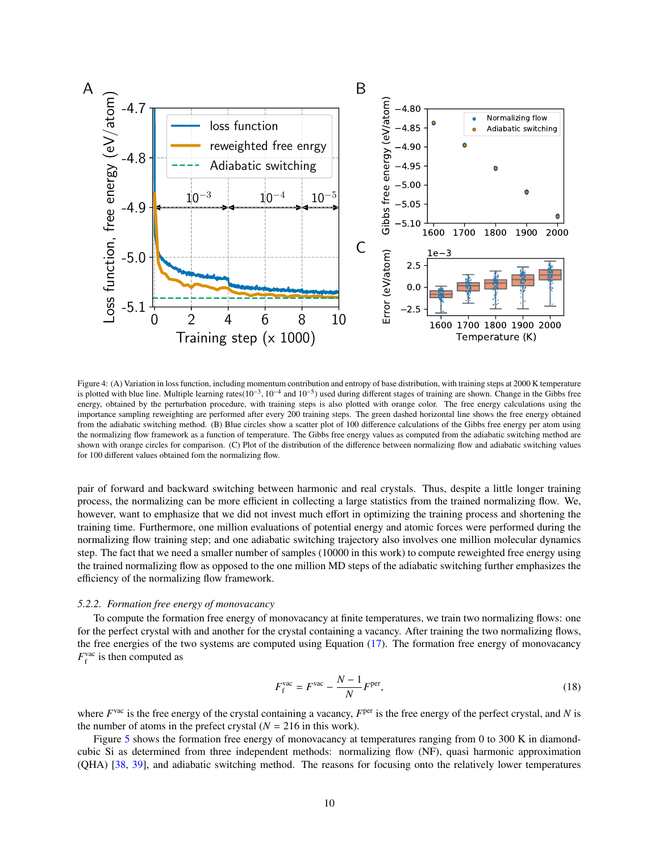

<span id="page-9-0"></span>Figure 4: (A) Variation in loss function, including momentum contribution and entropy of base distribution, with training steps at 2000 K temperature is plotted with blue line. Multiple learning rates( $10^{-3}$ ,  $10^{-4}$  and  $10^{-5}$ ) used during different stages of training are shown. Change in the Gibbs free<br>energy obtained by the perturbation procedure, with training st energy, obtained by the perturbation procedure, with training steps is also plotted with orange color. The free energy calculations using the importance sampling reweighting are performed after every 200 training steps. The green dashed horizontal line shows the free energy obtained from the adiabatic switching method. (B) Blue circles show a scatter plot of 100 difference calculations of the Gibbs free energy per atom using the normalizing flow framework as a function of temperature. The Gibbs free energy values as computed from the adiabatic switching method are shown with orange circles for comparison. (C) Plot of the distribution of the difference between normalizing flow and adiabatic switching values for 100 different values obtained fom the normalizing flow.

pair of forward and backward switching between harmonic and real crystals. Thus, despite a little longer training process, the normalizing can be more efficient in collecting a large statistics from the trained normalizing flow. We, however, want to emphasize that we did not invest much effort in optimizing the training process and shortening the training time. Furthermore, one million evaluations of potential energy and atomic forces were performed during the normalizing flow training step; and one adiabatic switching trajectory also involves one million molecular dynamics step. The fact that we need a smaller number of samples (10000 in this work) to compute reweighted free energy using the trained normalizing flow as opposed to the one million MD steps of the adiabatic switching further emphasizes the efficiency of the normalizing flow framework.

# *5.2.2. Formation free energy of monovacancy*

To compute the formation free energy of monovacancy at finite temperatures, we train two normalizing flows: one for the perfect crystal with and another for the crystal containing a vacancy. After training the two normalizing flows, the free energies of the two systems are computed using Equation [\(17\)](#page-6-3). The formation free energy of monovacancy  $F_f^{\text{vac}}$  is then computed as

$$
F_{\rm f}^{\rm vac} = F^{\rm vac} - \frac{N-1}{N} F^{\rm per},\tag{18}
$$

where  $F<sup>vac</sup>$  is the free energy of the crystal containing a vacancy,  $F<sup>per</sup>$  is the free energy of the perfect crystal, and *N* is the number of atoms in the prefect crystal  $(N = 216$  in this work).

Figure [5](#page-10-1) shows the formation free energy of monovacancy at temperatures ranging from 0 to 300 K in diamondcubic Si as determined from three independent methods: normalizing flow (NF), quasi harmonic approximation (QHA) [\[38,](#page-15-11) [39\]](#page-15-12), and adiabatic switching method. The reasons for focusing onto the relatively lower temperatures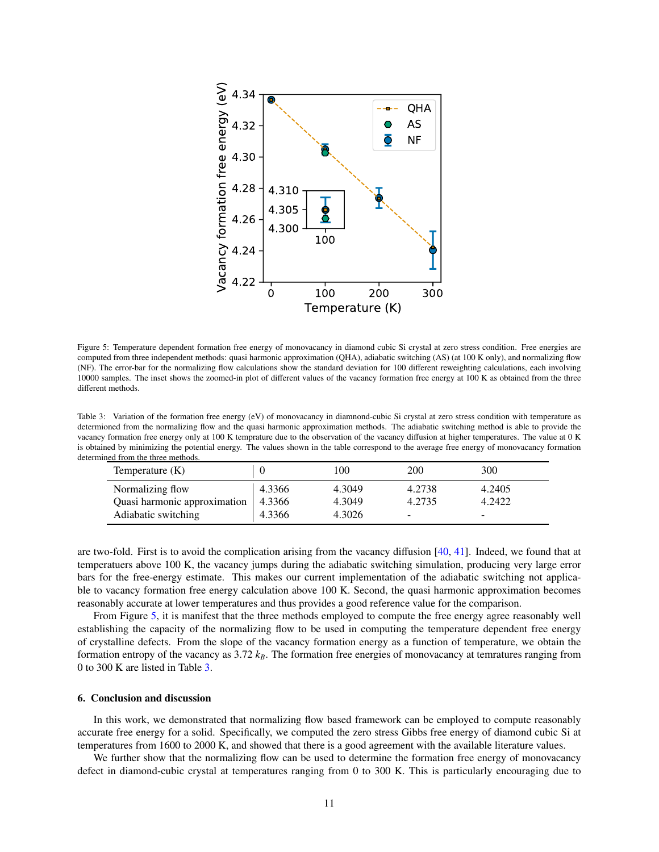

<span id="page-10-1"></span>Figure 5: Temperature dependent formation free energy of monovacancy in diamond cubic Si crystal at zero stress condition. Free energies are computed from three independent methods: quasi harmonic approximation (QHA), adiabatic switching (AS) (at 100 K only), and normalizing flow (NF). The error-bar for the normalizing flow calculations show the standard deviation for 100 different reweighting calculations, each involving 10000 samples. The inset shows the zoomed-in plot of different values of the vacancy formation free energy at 100 K as obtained from the three different methods.

<span id="page-10-2"></span>Table 3: Variation of the formation free energy (eV) of monovacancy in diamnond-cubic Si crystal at zero stress condition with temperature as determioned from the normalizing flow and the quasi harmonic approximation methods. The adiabatic switching method is able to provide the vacancy formation free energy only at 100 K temprature due to the observation of the vacancy diffusion at higher temperatures. The value at 0 K is obtained by minimizing the potential energy. The values shown in the table correspond to the average free energy of monovacancy formation determined from the three methods.

| Temperature $(K)$            |        | 100    | 200    | 300                      |
|------------------------------|--------|--------|--------|--------------------------|
| Normalizing flow             | 4.3366 | 4.3049 | 4.2738 | 4.2405                   |
| Quasi harmonic approximation | 4.3366 | 4.3049 | 4.2735 | 4.2422                   |
| Adiabatic switching          | 4.3366 | 4.3026 | -      | $\overline{\phantom{a}}$ |

are two-fold. First is to avoid the complication arising from the vacancy diffusion [\[40,](#page-15-13) [41\]](#page-15-14). Indeed, we found that at temperatuers above 100 K, the vacancy jumps during the adiabatic switching simulation, producing very large error bars for the free-energy estimate. This makes our current implementation of the adiabatic switching not applicable to vacancy formation free energy calculation above 100 K. Second, the quasi harmonic approximation becomes reasonably accurate at lower temperatures and thus provides a good reference value for the comparison.

From Figure [5,](#page-10-1) it is manifest that the three methods employed to compute the free energy agree reasonably well establishing the capacity of the normalizing flow to be used in computing the temperature dependent free energy of crystalline defects. From the slope of the vacancy formation energy as a function of temperature, we obtain the formation entropy of the vacancy as 3.72 *kB*. The formation free energies of monovacancy at temratures ranging from 0 to 300 K are listed in Table [3.](#page-10-2)

#### <span id="page-10-0"></span>6. Conclusion and discussion

In this work, we demonstrated that normalizing flow based framework can be employed to compute reasonably accurate free energy for a solid. Specifically, we computed the zero stress Gibbs free energy of diamond cubic Si at temperatures from 1600 to 2000 K, and showed that there is a good agreement with the available literature values.

We further show that the normalizing flow can be used to determine the formation free energy of monovacancy defect in diamond-cubic crystal at temperatures ranging from 0 to 300 K. This is particularly encouraging due to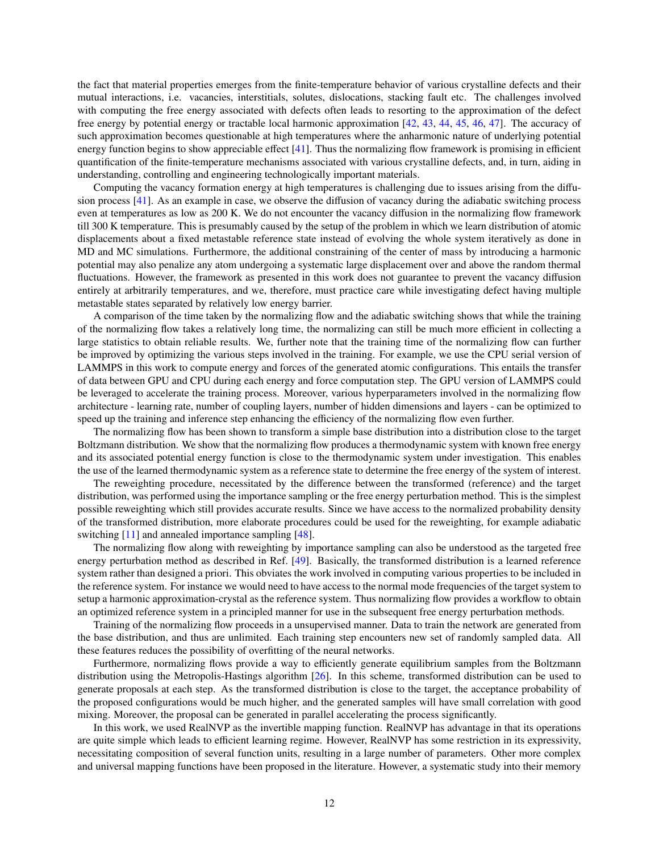the fact that material properties emerges from the finite-temperature behavior of various crystalline defects and their mutual interactions, i.e. vacancies, interstitials, solutes, dislocations, stacking fault etc. The challenges involved with computing the free energy associated with defects often leads to resorting to the approximation of the defect free energy by potential energy or tractable local harmonic approximation [\[42,](#page-15-15) [43,](#page-15-16) [44,](#page-15-17) [45,](#page-15-18) [46,](#page-16-0) [47\]](#page-16-1). The accuracy of such approximation becomes questionable at high temperatures where the anharmonic nature of underlying potential energy function begins to show appreciable effect  $[41]$ . Thus the normalizing flow framework is promising in efficient quantification of the finite-temperature mechanisms associated with various crystalline defects, and, in turn, aiding in understanding, controlling and engineering technologically important materials.

Computing the vacancy formation energy at high temperatures is challenging due to issues arising from the diffusion process [\[41\]](#page-15-14). As an example in case, we observe the diffusion of vacancy during the adiabatic switching process even at temperatures as low as 200 K. We do not encounter the vacancy diffusion in the normalizing flow framework till 300 K temperature. This is presumably caused by the setup of the problem in which we learn distribution of atomic displacements about a fixed metastable reference state instead of evolving the whole system iteratively as done in MD and MC simulations. Furthermore, the additional constraining of the center of mass by introducing a harmonic potential may also penalize any atom undergoing a systematic large displacement over and above the random thermal fluctuations. However, the framework as presented in this work does not guarantee to prevent the vacancy diffusion entirely at arbitrarily temperatures, and we, therefore, must practice care while investigating defect having multiple metastable states separated by relatively low energy barrier.

A comparison of the time taken by the normalizing flow and the adiabatic switching shows that while the training of the normalizing flow takes a relatively long time, the normalizing can still be much more efficient in collecting a large statistics to obtain reliable results. We, further note that the training time of the normalizing flow can further be improved by optimizing the various steps involved in the training. For example, we use the CPU serial version of LAMMPS in this work to compute energy and forces of the generated atomic configurations. This entails the transfer of data between GPU and CPU during each energy and force computation step. The GPU version of LAMMPS could be leveraged to accelerate the training process. Moreover, various hyperparameters involved in the normalizing flow architecture - learning rate, number of coupling layers, number of hidden dimensions and layers - can be optimized to speed up the training and inference step enhancing the efficiency of the normalizing flow even further.

The normalizing flow has been shown to transform a simple base distribution into a distribution close to the target Boltzmann distribution. We show that the normalizing flow produces a thermodynamic system with known free energy and its associated potential energy function is close to the thermodynamic system under investigation. This enables the use of the learned thermodynamic system as a reference state to determine the free energy of the system of interest.

The reweighting procedure, necessitated by the difference between the transformed (reference) and the target distribution, was performed using the importance sampling or the free energy perturbation method. This is the simplest possible reweighting which still provides accurate results. Since we have access to the normalized probability density of the transformed distribution, more elaborate procedures could be used for the reweighting, for example adiabatic switching [\[11\]](#page-14-5) and annealed importance sampling [\[48\]](#page-16-2).

The normalizing flow along with reweighting by importance sampling can also be understood as the targeted free energy perturbation method as described in Ref. [\[49\]](#page-16-3). Basically, the transformed distribution is a learned reference system rather than designed a priori. This obviates the work involved in computing various properties to be included in the reference system. For instance we would need to have access to the normal mode frequencies of the target system to setup a harmonic approximation-crystal as the reference system. Thus normalizing flow provides a workflow to obtain an optimized reference system in a principled manner for use in the subsequent free energy perturbation methods.

Training of the normalizing flow proceeds in a unsupervised manner. Data to train the network are generated from the base distribution, and thus are unlimited. Each training step encounters new set of randomly sampled data. All these features reduces the possibility of overfitting of the neural networks.

Furthermore, normalizing flows provide a way to efficiently generate equilibrium samples from the Boltzmann distribution using the Metropolis-Hastings algorithm [\[26\]](#page-14-20). In this scheme, transformed distribution can be used to generate proposals at each step. As the transformed distribution is close to the target, the acceptance probability of the proposed configurations would be much higher, and the generated samples will have small correlation with good mixing. Moreover, the proposal can be generated in parallel accelerating the process significantly.

In this work, we used RealNVP as the invertible mapping function. RealNVP has advantage in that its operations are quite simple which leads to efficient learning regime. However, RealNVP has some restriction in its expressivity, necessitating composition of several function units, resulting in a large number of parameters. Other more complex and universal mapping functions have been proposed in the literature. However, a systematic study into their memory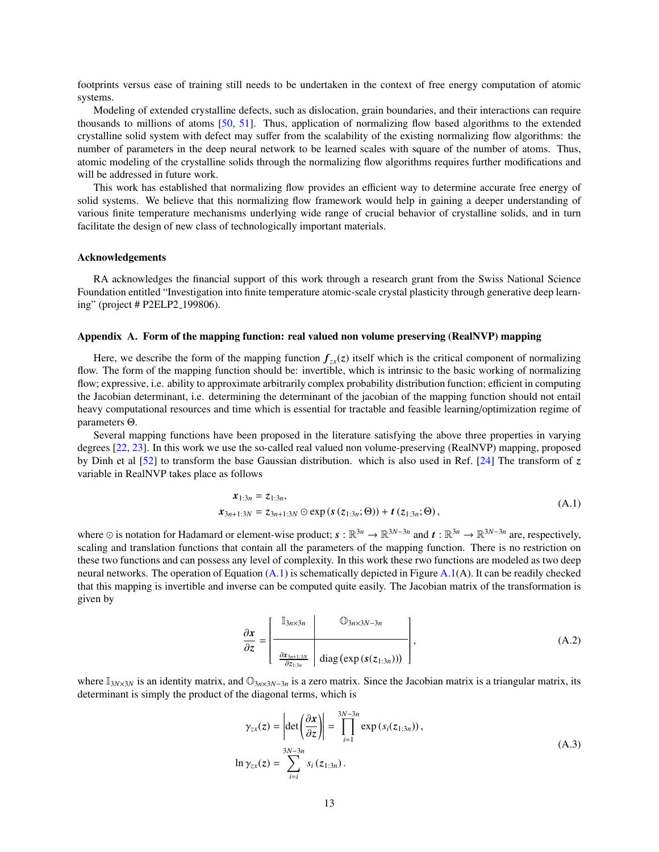footprints versus ease of training still needs to be undertaken in the context of free energy computation of atomic systems.

Modeling of extended crystalline defects, such as dislocation, grain boundaries, and their interactions can require thousands to millions of atoms [\[50,](#page-16-4) [51\]](#page-16-5). Thus, application of normalizing flow based algorithms to the extended crystalline solid system with defect may suffer from the scalability of the existing normalizing flow algorithms: the number of parameters in the deep neural network to be learned scales with square of the number of atoms. Thus, atomic modeling of the crystalline solids through the normalizing flow algorithms requires further modifications and will be addressed in future work.

This work has established that normalizing flow provides an efficient way to determine accurate free energy of solid systems. We believe that this normalizing flow framework would help in gaining a deeper understanding of various finite temperature mechanisms underlying wide range of crucial behavior of crystalline solids, and in turn facilitate the design of new class of technologically important materials.

#### Acknowledgements

RA acknowledges the financial support of this work through a research grant from the Swiss National Science Foundation entitled "Investigation into finite temperature atomic-scale crystal plasticity through generative deep learning" (project # P2ELP2 199806).

# <span id="page-12-0"></span>Appendix A. Form of the mapping function: real valued non volume preserving (RealNVP) mapping

Here, we describe the form of the mapping function  $f_{zx}(z)$  itself which is the critical component of normalizing flow. The form of the mapping function should be: invertible, which is intrinsic to the basic working of normalizing flow; expressive, i.e. ability to approximate arbitrarily complex probability distribution function; efficient in computing the Jacobian determinant, i.e. determining the determinant of the jacobian of the mapping function should not entail heavy computational resources and time which is essential for tractable and feasible learning/optimization regime of parameters Θ.

Several mapping functions have been proposed in the literature satisfying the above three properties in varying degrees [\[22,](#page-14-16) [23\]](#page-14-17). In this work we use the so-called real valued non volume-preserving (RealNVP) mapping, proposed by Dinh et al [\[52\]](#page-16-6) to transform the base Gaussian distribution. which is also used in Ref. [\[24\]](#page-14-18) The transform of *z* variable in RealNVP takes place as follows

<span id="page-12-1"></span>
$$
\begin{aligned} x_{1:3n} &= z_{1:3n}, \\ x_{3n+1:3N} &= z_{3n+1:3N} \odot \exp\left(s\left(z_{1:3n}; \Theta\right)\right) + t\left(z_{1:3n}; \Theta\right), \end{aligned} \tag{A.1}
$$

where  $\odot$  is notation for Hadamard or element-wise product;  $s : \mathbb{R}^{3n} \to \mathbb{R}^{3N-3n}$  and  $t : \mathbb{R}^{3n} \to \mathbb{R}^{3N-3n}$  are, respectively, scaling and translation functions that contain all the parameters of the mapping function. There is no restriction on these two functions and can possess any level of complexity. In this work these rwo functions are modeled as two deep neural networks. The operation of Equation  $(A.1)$  is schematically depicted in Figure  $A.1(A)$  $A.1(A)$ . It can be readily checked that this mapping is invertible and inverse can be computed quite easily. The Jacobian matrix of the transformation is given by

$$
\frac{\partial x}{\partial z} = \left[\begin{array}{c|c}\n\mathbb{I}_{3n \times 3n} & \mathbb{O}_{3n \times 3N-3n} \\
\hline\n\frac{\partial x_{3n+1:3N}}{\partial z_{1:3n}} & \text{diag}\left(\exp\left(s(z_{1:3n})\right)\right)\n\end{array}\right],\tag{A.2}
$$

where  $\mathbb{I}_{3N\times3N}$  is an identity matrix, and  $\mathbb{O}_{3n\times3N-3n}$  is a zero matrix. Since the Jacobian matrix is a triangular matrix, its determinant is simply the product of the diagonal terms, which is

$$
\gamma_{zx}(z) = \left| \det \left( \frac{\partial x}{\partial z} \right) \right| = \prod_{i=1}^{3N-3n} \exp \left( s_i(z_{1:3n}) \right),
$$
  
\n
$$
\ln \gamma_{zx}(z) = \sum_{i=i}^{3N-3n} s_i(z_{1:3n}).
$$
\n(A.3)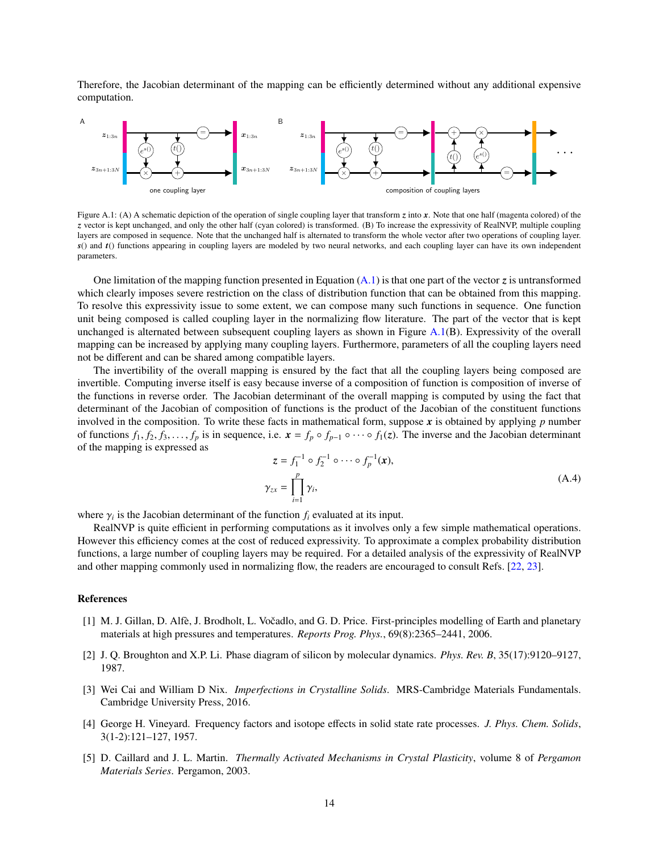Therefore, the Jacobian determinant of the mapping can be efficiently determined without any additional expensive computation.



Figure A.1: (A) A schematic depiction of the operation of single coupling layer that transform *z* into *x*. Note that one half (magenta colored) of the *z* vector is kept unchanged, and only the other half (cyan colored) is transformed. (B) To increase the expressivity of RealNVP, multiple coupling layers are composed in sequence. Note that the unchanged half is alternated to transform the whole vector after two operations of coupling layer. *s*() and *t*() functions appearing in coupling layers are modeled by two neural networks, and each coupling layer can have its own independent parameters.

One limitation of the mapping function presented in Equation [\(A.1\)](#page-12-1) is that one part of the vector *z* is untransformed which clearly imposes severe restriction on the class of distribution function that can be obtained from this mapping. To resolve this expressivity issue to some extent, we can compose many such functions in sequence. One function unit being composed is called coupling layer in the normalizing flow literature. The part of the vector that is kept unchanged is alternated between subsequent coupling layers as shown in Figure  $A.1(B)$  $A.1(B)$ . Expressivity of the overall mapping can be increased by applying many coupling layers. Furthermore, parameters of all the coupling layers need not be different and can be shared among compatible layers.

The invertibility of the overall mapping is ensured by the fact that all the coupling layers being composed are invertible. Computing inverse itself is easy because inverse of a composition of function is composition of inverse of the functions in reverse order. The Jacobian determinant of the overall mapping is computed by using the fact that determinant of the Jacobian of composition of functions is the product of the Jacobian of the constituent functions involved in the composition. To write these facts in mathematical form, suppose  $x$  is obtained by applying  $p$  number of functions  $f_1, f_2, f_3, \ldots, f_p$  is in sequence, i.e.  $x = f_p \circ f_{p-1} \circ \cdots \circ f_1(z)$ . The inverse and the Jacobian determinant of the mapping is expressed as

$$
z = f_1^{-1} \circ f_2^{-1} \circ \cdots \circ f_p^{-1}(x),
$$
  
\n
$$
\gamma_{zx} = \prod_{i=1}^p \gamma_i,
$$
\n(A.4)

where  $\gamma_i$  is the Jacobian determinant of the function  $f_i$  evaluated at its input.<br>Real NVP is quite efficient in performing computations as it involves on

RealNVP is quite efficient in performing computations as it involves only a few simple mathematical operations. However this efficiency comes at the cost of reduced expressivity. To approximate a complex probability distribution functions, a large number of coupling layers may be required. For a detailed analysis of the expressivity of RealNVP and other mapping commonly used in normalizing flow, the readers are encouraged to consult Refs. [\[22,](#page-14-16) [23\]](#page-14-17).

## References

- <span id="page-13-0"></span>[1] M. J. Gillan, D. Alfè, J. Brodholt, L. Vočadlo, and G. D. Price. First-principles modelling of Earth and planetary materials at high pressures and temperatures. *Reports Prog. Phys.*, 69(8):2365–2441, 2006.
- <span id="page-13-1"></span>[2] J. Q. Broughton and X.P. Li. Phase diagram of silicon by molecular dynamics. *Phys. Rev. B*, 35(17):9120–9127, 1987.
- <span id="page-13-2"></span>[3] Wei Cai and William D Nix. *Imperfections in Crystalline Solids*. MRS-Cambridge Materials Fundamentals. Cambridge University Press, 2016.
- <span id="page-13-3"></span>[4] George H. Vineyard. Frequency factors and isotope effects in solid state rate processes. *J. Phys. Chem. Solids*, 3(1-2):121–127, 1957.
- <span id="page-13-4"></span>[5] D. Caillard and J. L. Martin. *Thermally Activated Mechanisms in Crystal Plasticity*, volume 8 of *Pergamon Materials Series*. Pergamon, 2003.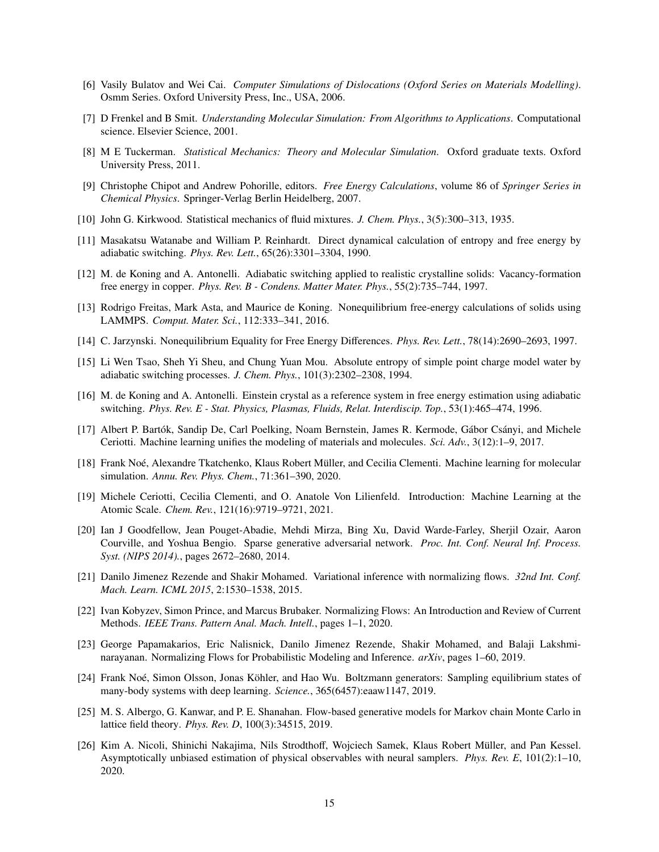- <span id="page-14-0"></span>[6] Vasily Bulatov and Wei Cai. *Computer Simulations of Dislocations (Oxford Series on Materials Modelling)*. Osmm Series. Oxford University Press, Inc., USA, 2006.
- <span id="page-14-1"></span>[7] D Frenkel and B Smit. *Understanding Molecular Simulation: From Algorithms to Applications*. Computational science. Elsevier Science, 2001.
- <span id="page-14-2"></span>[8] M E Tuckerman. *Statistical Mechanics: Theory and Molecular Simulation*. Oxford graduate texts. Oxford University Press, 2011.
- <span id="page-14-3"></span>[9] Christophe Chipot and Andrew Pohorille, editors. *Free Energy Calculations*, volume 86 of *Springer Series in Chemical Physics*. Springer-Verlag Berlin Heidelberg, 2007.
- <span id="page-14-4"></span>[10] John G. Kirkwood. Statistical mechanics of fluid mixtures. *J. Chem. Phys.*, 3(5):300–313, 1935.
- <span id="page-14-5"></span>[11] Masakatsu Watanabe and William P. Reinhardt. Direct dynamical calculation of entropy and free energy by adiabatic switching. *Phys. Rev. Lett.*, 65(26):3301–3304, 1990.
- <span id="page-14-6"></span>[12] M. de Koning and A. Antonelli. Adiabatic switching applied to realistic crystalline solids: Vacancy-formation free energy in copper. *Phys. Rev. B - Condens. Matter Mater. Phys.*, 55(2):735–744, 1997.
- <span id="page-14-7"></span>[13] Rodrigo Freitas, Mark Asta, and Maurice de Koning. Nonequilibrium free-energy calculations of solids using LAMMPS. *Comput. Mater. Sci.*, 112:333–341, 2016.
- <span id="page-14-8"></span>[14] C. Jarzynski. Nonequilibrium Equality for Free Energy Differences. *Phys. Rev. Lett.*, 78(14):2690–2693, 1997.
- <span id="page-14-9"></span>[15] Li Wen Tsao, Sheh Yi Sheu, and Chung Yuan Mou. Absolute entropy of simple point charge model water by adiabatic switching processes. *J. Chem. Phys.*, 101(3):2302–2308, 1994.
- <span id="page-14-10"></span>[16] M. de Koning and A. Antonelli. Einstein crystal as a reference system in free energy estimation using adiabatic switching. *Phys. Rev. E - Stat. Physics, Plasmas, Fluids, Relat. Interdiscip. Top.*, 53(1):465–474, 1996.
- <span id="page-14-11"></span>[17] Albert P. Bartók, Sandip De, Carl Poelking, Noam Bernstein, James R. Kermode, Gábor Csányi, and Michele Ceriotti. Machine learning unifies the modeling of materials and molecules. *Sci. Adv.*, 3(12):1–9, 2017.
- <span id="page-14-12"></span>[18] Frank Noé, Alexandre Tkatchenko, Klaus Robert Müller, and Cecilia Clementi. Machine learning for molecular simulation. *Annu. Rev. Phys. Chem.*, 71:361–390, 2020.
- <span id="page-14-13"></span>[19] Michele Ceriotti, Cecilia Clementi, and O. Anatole Von Lilienfeld. Introduction: Machine Learning at the Atomic Scale. *Chem. Rev.*, 121(16):9719–9721, 2021.
- <span id="page-14-14"></span>[20] Ian J Goodfellow, Jean Pouget-Abadie, Mehdi Mirza, Bing Xu, David Warde-Farley, Sherjil Ozair, Aaron Courville, and Yoshua Bengio. Sparse generative adversarial network. *Proc. Int. Conf. Neural Inf. Process. Syst. (NIPS 2014).*, pages 2672–2680, 2014.
- <span id="page-14-15"></span>[21] Danilo Jimenez Rezende and Shakir Mohamed. Variational inference with normalizing flows. *32nd Int. Conf. Mach. Learn. ICML 2015*, 2:1530–1538, 2015.
- <span id="page-14-16"></span>[22] Ivan Kobyzev, Simon Prince, and Marcus Brubaker. Normalizing Flows: An Introduction and Review of Current Methods. *IEEE Trans. Pattern Anal. Mach. Intell.*, pages 1–1, 2020.
- <span id="page-14-17"></span>[23] George Papamakarios, Eric Nalisnick, Danilo Jimenez Rezende, Shakir Mohamed, and Balaji Lakshminarayanan. Normalizing Flows for Probabilistic Modeling and Inference. *arXiv*, pages 1–60, 2019.
- <span id="page-14-18"></span>[24] Frank Noé, Simon Olsson, Jonas Köhler, and Hao Wu. Boltzmann generators: Sampling equilibrium states of many-body systems with deep learning. *Science.*, 365(6457):eaaw1147, 2019.
- <span id="page-14-19"></span>[25] M. S. Albergo, G. Kanwar, and P. E. Shanahan. Flow-based generative models for Markov chain Monte Carlo in lattice field theory. *Phys. Rev. D*, 100(3):34515, 2019.
- <span id="page-14-20"></span>[26] Kim A. Nicoli, Shinichi Nakajima, Nils Strodthoff, Wojciech Samek, Klaus Robert Müller, and Pan Kessel. Asymptotically unbiased estimation of physical observables with neural samplers. *Phys. Rev. E*, 101(2):1–10, 2020.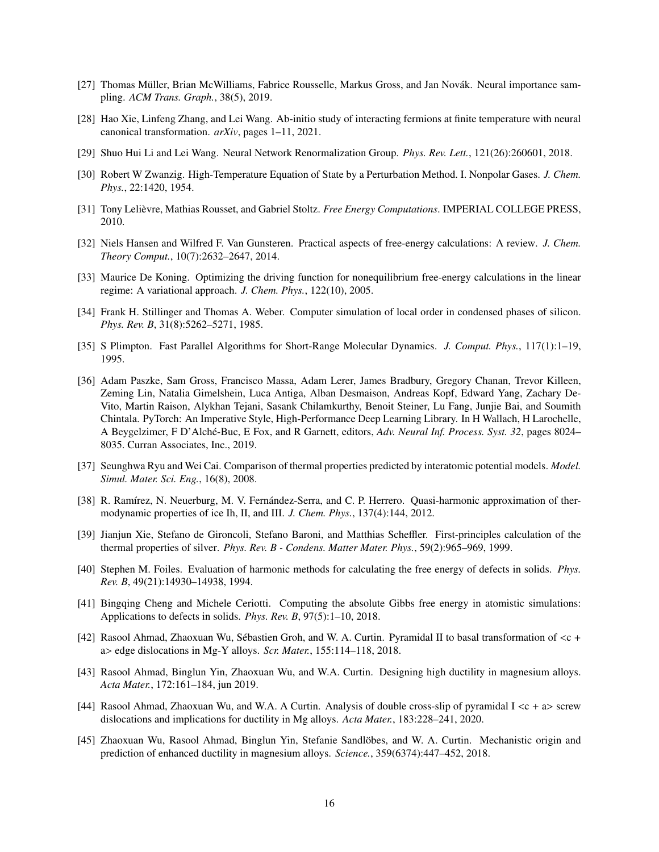- <span id="page-15-0"></span>[27] Thomas Müller, Brian McWilliams, Fabrice Rousselle, Markus Gross, and Jan Novák. Neural importance sampling. *ACM Trans. Graph.*, 38(5), 2019.
- <span id="page-15-1"></span>[28] Hao Xie, Linfeng Zhang, and Lei Wang. Ab-initio study of interacting fermions at finite temperature with neural canonical transformation. *arXiv*, pages 1–11, 2021.
- <span id="page-15-2"></span>[29] Shuo Hui Li and Lei Wang. Neural Network Renormalization Group. *Phys. Rev. Lett.*, 121(26):260601, 2018.
- <span id="page-15-3"></span>[30] Robert W Zwanzig. High-Temperature Equation of State by a Perturbation Method. I. Nonpolar Gases. *J. Chem. Phys.*, 22:1420, 1954.
- <span id="page-15-4"></span>[31] Tony Lelièvre, Mathias Rousset, and Gabriel Stoltz. *Free Energy Computations*. IMPERIAL COLLEGE PRESS, 2010.
- <span id="page-15-5"></span>[32] Niels Hansen and Wilfred F. Van Gunsteren. Practical aspects of free-energy calculations: A review. *J. Chem. Theory Comput.*, 10(7):2632–2647, 2014.
- <span id="page-15-6"></span>[33] Maurice De Koning. Optimizing the driving function for nonequilibrium free-energy calculations in the linear regime: A variational approach. *J. Chem. Phys.*, 122(10), 2005.
- <span id="page-15-7"></span>[34] Frank H. Stillinger and Thomas A. Weber. Computer simulation of local order in condensed phases of silicon. *Phys. Rev. B*, 31(8):5262–5271, 1985.
- <span id="page-15-8"></span>[35] S Plimpton. Fast Parallel Algorithms for Short-Range Molecular Dynamics. *J. Comput. Phys.*, 117(1):1–19, 1995.
- <span id="page-15-9"></span>[36] Adam Paszke, Sam Gross, Francisco Massa, Adam Lerer, James Bradbury, Gregory Chanan, Trevor Killeen, Zeming Lin, Natalia Gimelshein, Luca Antiga, Alban Desmaison, Andreas Kopf, Edward Yang, Zachary De-Vito, Martin Raison, Alykhan Tejani, Sasank Chilamkurthy, Benoit Steiner, Lu Fang, Junjie Bai, and Soumith Chintala. PyTorch: An Imperative Style, High-Performance Deep Learning Library. In H Wallach, H Larochelle, A Beygelzimer, F D'Alché-Buc, E Fox, and R Garnett, editors, Adv. Neural Inf. Process. Syst. 32, pages 8024– 8035. Curran Associates, Inc., 2019.
- <span id="page-15-10"></span>[37] Seunghwa Ryu and Wei Cai. Comparison of thermal properties predicted by interatomic potential models. *Model. Simul. Mater. Sci. Eng.*, 16(8), 2008.
- <span id="page-15-11"></span>[38] R. Ramírez, N. Neuerburg, M. V. Fernández-Serra, and C. P. Herrero. Quasi-harmonic approximation of thermodynamic properties of ice Ih, II, and III. *J. Chem. Phys.*, 137(4):144, 2012.
- <span id="page-15-12"></span>[39] Jianjun Xie, Stefano de Gironcoli, Stefano Baroni, and Matthias Scheffler. First-principles calculation of the thermal properties of silver. *Phys. Rev. B - Condens. Matter Mater. Phys.*, 59(2):965–969, 1999.
- <span id="page-15-13"></span>[40] Stephen M. Foiles. Evaluation of harmonic methods for calculating the free energy of defects in solids. *Phys. Rev. B*, 49(21):14930–14938, 1994.
- <span id="page-15-14"></span>[41] Bingqing Cheng and Michele Ceriotti. Computing the absolute Gibbs free energy in atomistic simulations: Applications to defects in solids. *Phys. Rev. B*, 97(5):1–10, 2018.
- <span id="page-15-15"></span>[42] Rasool Ahmad, Zhaoxuan Wu, Sébastien Groh, and W. A. Curtin. Pyramidal II to basal transformation of  $\lt c$  + <sup>a</sup>> edge dislocations in Mg-Y alloys. *Scr. Mater.*, 155:114–118, 2018.
- <span id="page-15-16"></span>[43] Rasool Ahmad, Binglun Yin, Zhaoxuan Wu, and W.A. Curtin. Designing high ductility in magnesium alloys. *Acta Mater.*, 172:161–184, jun 2019.
- <span id="page-15-17"></span>[44] Rasool Ahmad, Zhaoxuan Wu, and W.A. A Curtin. Analysis of double cross-slip of pyramidal  $I \ll t + a$  screw dislocations and implications for ductility in Mg alloys. *Acta Mater.*, 183:228–241, 2020.
- <span id="page-15-18"></span>[45] Zhaoxuan Wu, Rasool Ahmad, Binglun Yin, Stefanie Sandlöbes, and W. A. Curtin. Mechanistic origin and prediction of enhanced ductility in magnesium alloys. *Science.*, 359(6374):447–452, 2018.